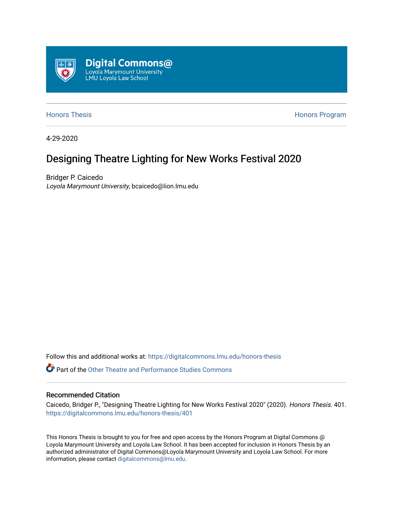

[Honors Thesis](https://digitalcommons.lmu.edu/honors-thesis) **Honors Honors** Program

4-29-2020

## Designing Theatre Lighting for New Works Festival 2020

Bridger P. Caicedo Loyola Marymount University, bcaicedo@lion.lmu.edu

Follow this and additional works at: [https://digitalcommons.lmu.edu/honors-thesis](https://digitalcommons.lmu.edu/honors-thesis?utm_source=digitalcommons.lmu.edu%2Fhonors-thesis%2F401&utm_medium=PDF&utm_campaign=PDFCoverPages)

**C** Part of the Other Theatre and Performance Studies Commons

#### Recommended Citation

Caicedo, Bridger P., "Designing Theatre Lighting for New Works Festival 2020" (2020). Honors Thesis. 401. [https://digitalcommons.lmu.edu/honors-thesis/401](https://digitalcommons.lmu.edu/honors-thesis/401?utm_source=digitalcommons.lmu.edu%2Fhonors-thesis%2F401&utm_medium=PDF&utm_campaign=PDFCoverPages) 

This Honors Thesis is brought to you for free and open access by the Honors Program at Digital Commons @ Loyola Marymount University and Loyola Law School. It has been accepted for inclusion in Honors Thesis by an authorized administrator of Digital Commons@Loyola Marymount University and Loyola Law School. For more information, please contact [digitalcommons@lmu.edu.](mailto:digitalcommons@lmu.edu)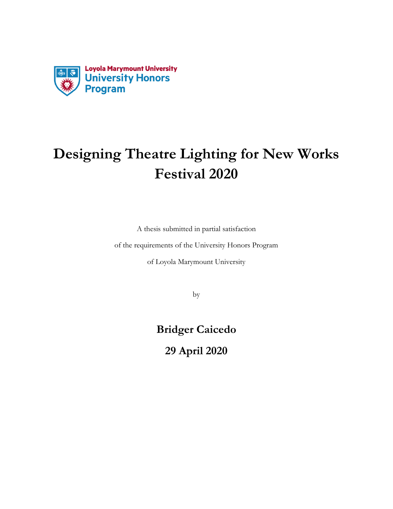

# **Designing Theatre Lighting for New Works Festival 2020**

A thesis submitted in partial satisfaction

of the requirements of the University Honors Program

of Loyola Marymount University

by

**Bridger Caicedo**

**29 April 2020**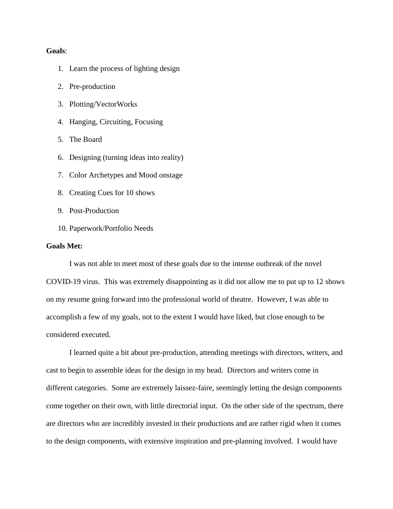#### **Goals**:

- 1. Learn the process of lighting design
- 2. Pre-production
- 3. Plotting/VectorWorks
- 4. Hanging, Circuiting, Focusing
- 5. The Board
- 6. Designing (turning ideas into reality)
- 7. Color Archetypes and Mood onstage
- 8. Creating Cues for 10 shows
- 9. Post-Production
- 10. Paperwork/Portfolio Needs

#### **Goals Met:**

I was not able to meet most of these goals due to the intense outbreak of the novel COVID-19 virus. This was extremely disappointing as it did not allow me to put up to 12 shows on my resume going forward into the professional world of theatre. However, I was able to accomplish a few of my goals, not to the extent I would have liked, but close enough to be considered executed.

I learned quite a bit about pre-production, attending meetings with directors, writers, and cast to begin to assemble ideas for the design in my head. Directors and writers come in different categories. Some are extremely laissez-faire, seemingly letting the design components come together on their own, with little directorial input. On the other side of the spectrum, there are directors who are incredibly invested in their productions and are rather rigid when it comes to the design components, with extensive inspiration and pre-planning involved. I would have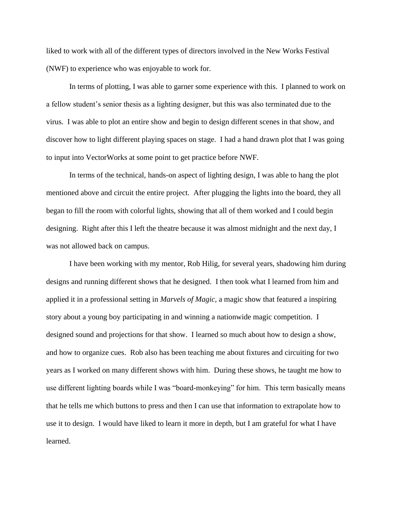liked to work with all of the different types of directors involved in the New Works Festival (NWF) to experience who was enjoyable to work for.

In terms of plotting, I was able to garner some experience with this. I planned to work on a fellow student's senior thesis as a lighting designer, but this was also terminated due to the virus. I was able to plot an entire show and begin to design different scenes in that show, and discover how to light different playing spaces on stage. I had a hand drawn plot that I was going to input into VectorWorks at some point to get practice before NWF.

In terms of the technical, hands-on aspect of lighting design, I was able to hang the plot mentioned above and circuit the entire project. After plugging the lights into the board, they all began to fill the room with colorful lights, showing that all of them worked and I could begin designing. Right after this I left the theatre because it was almost midnight and the next day, I was not allowed back on campus.

I have been working with my mentor, Rob Hilig, for several years, shadowing him during designs and running different shows that he designed. I then took what I learned from him and applied it in a professional setting in *Marvels of Magic,* a magic show that featured a inspiring story about a young boy participating in and winning a nationwide magic competition. I designed sound and projections for that show. I learned so much about how to design a show, and how to organize cues. Rob also has been teaching me about fixtures and circuiting for two years as I worked on many different shows with him. During these shows, he taught me how to use different lighting boards while I was "board-monkeying" for him. This term basically means that he tells me which buttons to press and then I can use that information to extrapolate how to use it to design. I would have liked to learn it more in depth, but I am grateful for what I have learned.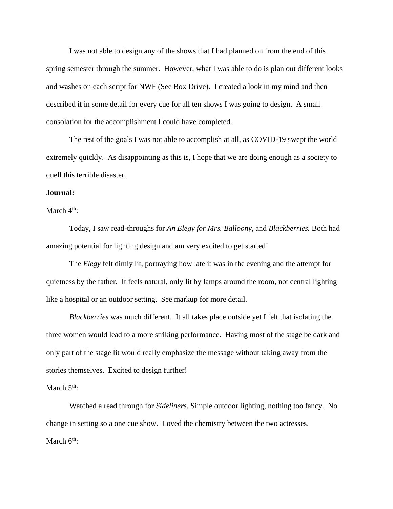I was not able to design any of the shows that I had planned on from the end of this spring semester through the summer. However, what I was able to do is plan out different looks and washes on each script for NWF (See Box Drive). I created a look in my mind and then described it in some detail for every cue for all ten shows I was going to design. A small consolation for the accomplishment I could have completed.

The rest of the goals I was not able to accomplish at all, as COVID-19 swept the world extremely quickly. As disappointing as this is, I hope that we are doing enough as a society to quell this terrible disaster.

#### **Journal:**

March  $4<sup>th</sup>$ :

Today, I saw read-throughs for *An Elegy for Mrs. Balloony,* and *Blackberries.* Both had amazing potential for lighting design and am very excited to get started!

The *Elegy* felt dimly lit, portraying how late it was in the evening and the attempt for quietness by the father. It feels natural, only lit by lamps around the room, not central lighting like a hospital or an outdoor setting. See markup for more detail.

*Blackberries* was much different. It all takes place outside yet I felt that isolating the three women would lead to a more striking performance. Having most of the stage be dark and only part of the stage lit would really emphasize the message without taking away from the stories themselves. Excited to design further!

#### March  $5<sup>th</sup>$ :

Watched a read through for *Sideliners.* Simple outdoor lighting, nothing too fancy. No change in setting so a one cue show. Loved the chemistry between the two actresses. March  $6<sup>th</sup>$ :